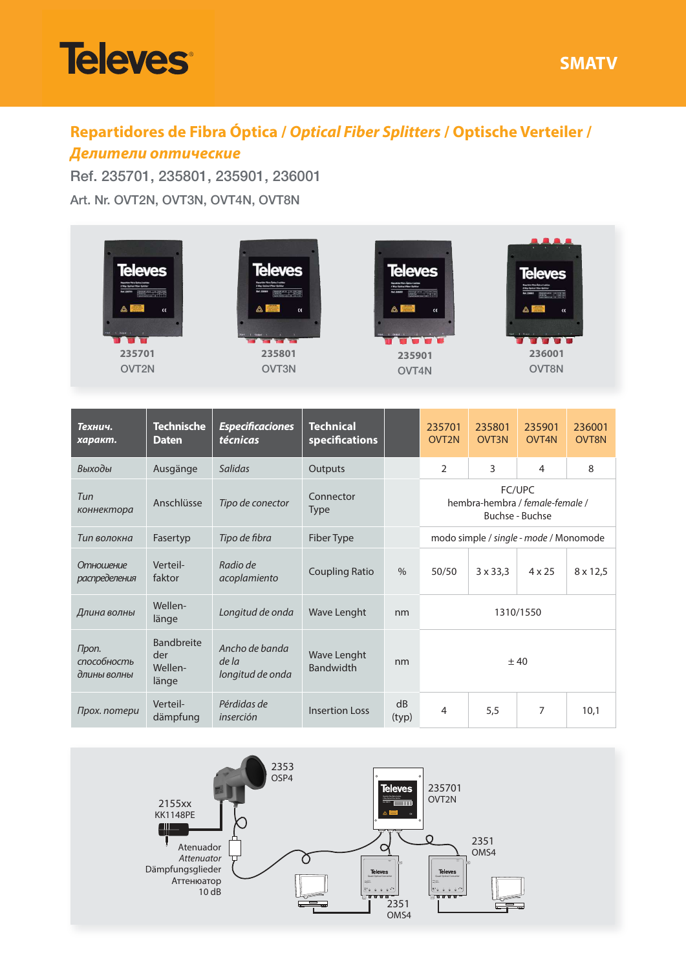



## **Repartidores de Fibra Óptica / Optical Fiber Splitters / Optische Verteiler /**

## **Делители оптические**

 Ref. 235701, 235801, 235901, 236001Art. Nr. OVT2N, OVT3N, OVT4N, OVT8N

| <b>Televes</b><br>$\alpha$<br>235701<br>OVT2N |                                              | <b>Televes</b><br>$\alpha$<br>235801<br>OVT3N |                                        | <b>Televes</b><br>$\alpha$<br>235901<br>OVT4N |                                                              | <b>Televes</b><br>$\alpha$<br>236001<br>OVT8N |                 |                        |
|-----------------------------------------------|----------------------------------------------|-----------------------------------------------|----------------------------------------|-----------------------------------------------|--------------------------------------------------------------|-----------------------------------------------|-----------------|------------------------|
| Технич.<br>характ.                            | <b>Technische</b><br><b>Daten</b>            | <b>Especificaciones</b><br>técnicas           | <b>Technical</b><br>specifications     |                                               | 235701<br>OVT <sub>2N</sub>                                  | 235801<br>OVT3N                               | 235901<br>OVT4N | 236001<br><b>OVT8N</b> |
| Выходы                                        | Ausgänge                                     | Salidas                                       | Outputs                                |                                               | $\overline{2}$                                               | 3                                             | $\overline{4}$  | 8                      |
| Tun<br>коннектора                             | Anschlüsse                                   | Tipo de conector                              | Connector<br>Type                      |                                               | FC/UPC<br>hembra-hembra / female-female /<br>Buchse - Buchse |                                               |                 |                        |
| <b>Тип волокна</b>                            | Fasertyp                                     | Tipo de fibra                                 | <b>Fiber Type</b>                      |                                               | modo simple / single - mode / Monomode                       |                                               |                 |                        |
| <b>Отношение</b><br>распределения             | Verteil-<br>faktor                           | Radio de<br>acoplamiento                      | <b>Coupling Ratio</b>                  | $\frac{9}{6}$                                 | 50/50                                                        | $3 \times 33.3$                               | $4 \times 25$   | $8 \times 12.5$        |
| Длина волны                                   | Wellen-<br>länge                             | Longitud de onda                              | <b>Wave Lenght</b>                     | nm                                            | 1310/1550                                                    |                                               |                 |                        |
| Проп.<br>способность<br>длины волны           | <b>Bandbreite</b><br>der<br>Wellen-<br>länge | Ancho de banda<br>de la<br>longitud de onda   | <b>Wave Lenght</b><br><b>Bandwidth</b> | nm                                            | $+40$                                                        |                                               |                 |                        |
| Прох. потери                                  | Verteil-<br>dämpfung                         | Pérdidas de<br>inserción                      | <b>Insertion Loss</b>                  | dB<br>(typ)                                   | $\overline{4}$                                               | 5.5                                           | $\overline{7}$  | 10.1                   |